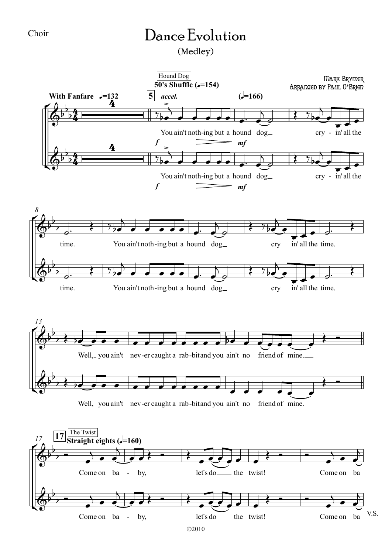## Dance Evolution

(Medley)

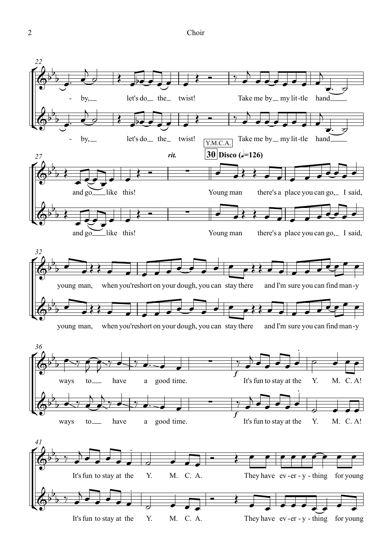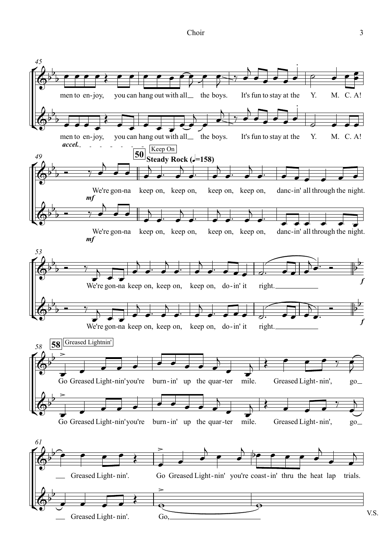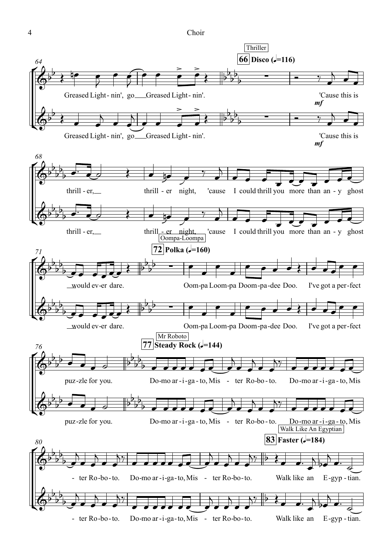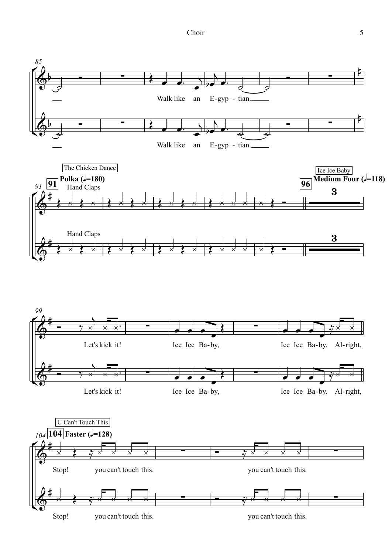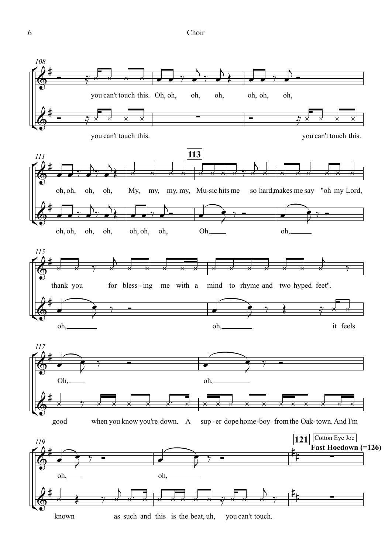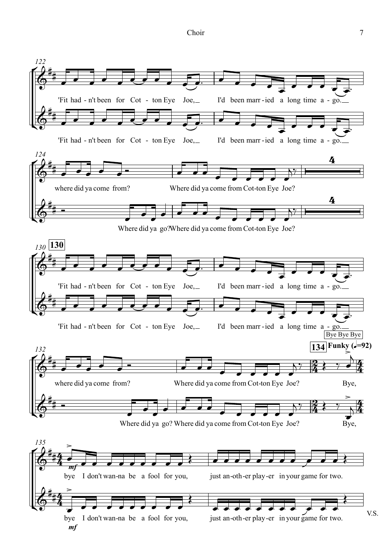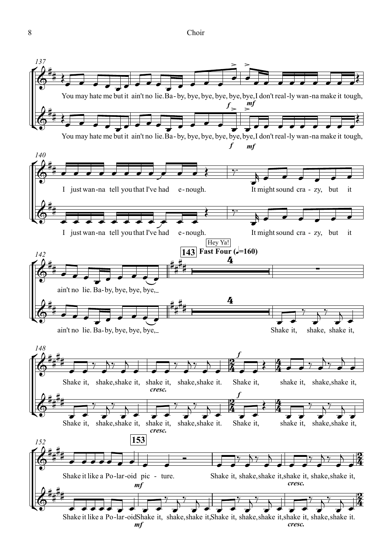